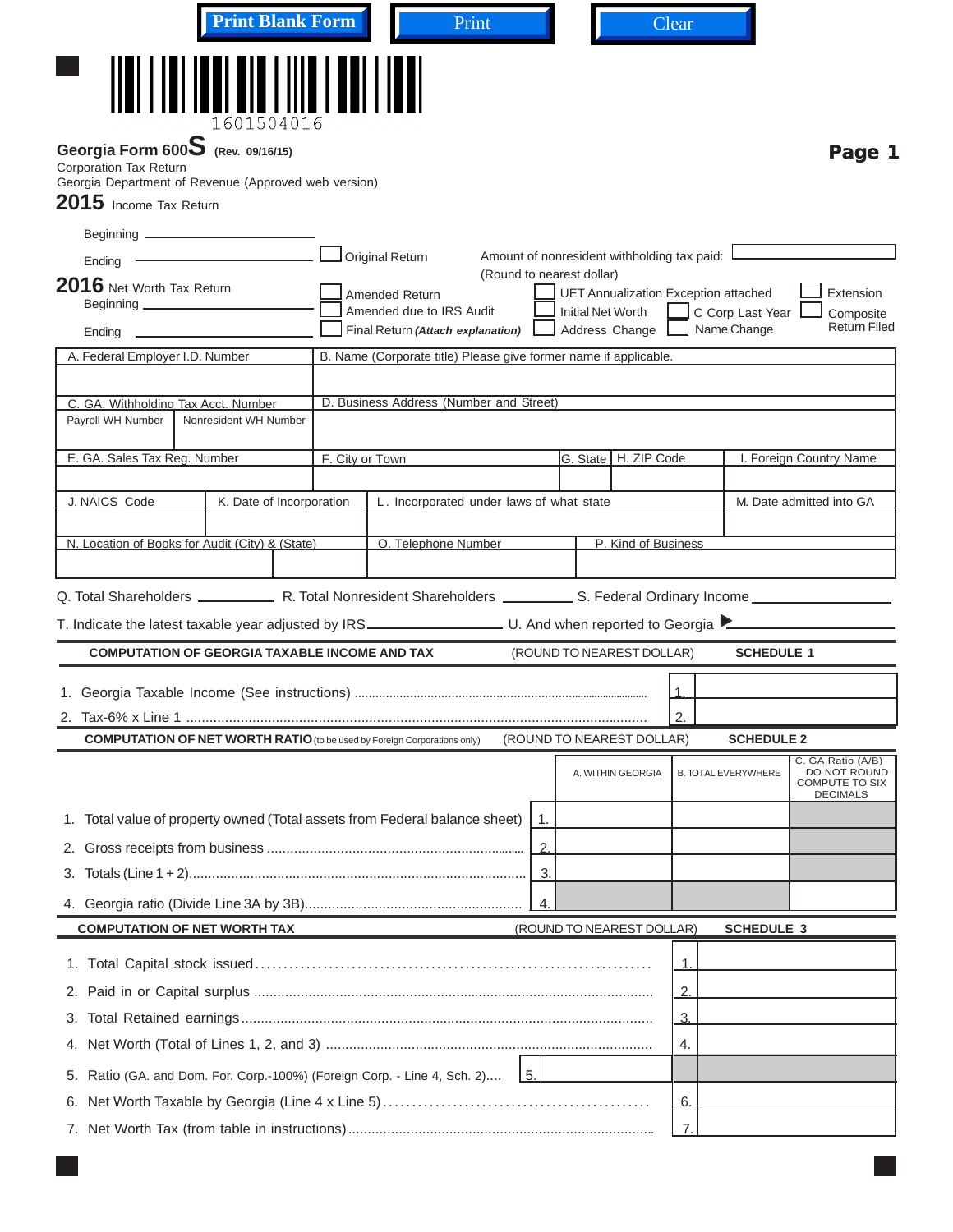| <b>Print Blank Form</b>                                                                                                                                          | Print                                                            |                  |                                                                          | Clear            |                            |                                                                               |
|------------------------------------------------------------------------------------------------------------------------------------------------------------------|------------------------------------------------------------------|------------------|--------------------------------------------------------------------------|------------------|----------------------------|-------------------------------------------------------------------------------|
|                                                                                                                                                                  |                                                                  |                  |                                                                          |                  |                            |                                                                               |
| 1601504016<br>Georgia Form 600 $S$ (Rev. 09/16/15)<br>Corporation Tax Return<br>Georgia Department of Revenue (Approved web version)<br>$2015$ Income Tax Return |                                                                  |                  |                                                                          |                  |                            | Page 1                                                                        |
| Beginning ———————————                                                                                                                                            |                                                                  |                  |                                                                          |                  |                            |                                                                               |
| Ending $-$                                                                                                                                                       | Original Return                                                  |                  | Amount of nonresident withholding tax paid:                              |                  |                            |                                                                               |
| 2016 Net Worth Tax Return                                                                                                                                        | $\sf J$ Amended Return                                           |                  | (Round to nearest dollar)<br><b>UET Annualization Exception attached</b> |                  |                            | Extension                                                                     |
| Beginning ________________                                                                                                                                       | Amended due to IRS Audit                                         |                  | <b>Initial Net Worth</b>                                                 |                  | C Corp Last Year           | Composite<br><b>Return Filed</b>                                              |
| Ending _____________                                                                                                                                             | Final Return (Attach explanation)   Address Change               |                  |                                                                          |                  | Name Change                |                                                                               |
| A. Federal Employer I.D. Number                                                                                                                                  | B. Name (Corporate title) Please give former name if applicable. |                  |                                                                          |                  |                            |                                                                               |
| C. GA. Withholding Tax Acct. Number<br>Payroll WH Number<br>Nonresident WH Number                                                                                | D. Business Address (Number and Street)                          |                  |                                                                          |                  |                            |                                                                               |
| E. GA. Sales Tax Reg. Number                                                                                                                                     | F. City or Town                                                  |                  | G. State   H. ZIP Code                                                   |                  |                            | I. Foreign Country Name                                                       |
|                                                                                                                                                                  |                                                                  |                  |                                                                          |                  |                            |                                                                               |
| J. NAICS Code<br>K. Date of Incorporation                                                                                                                        | L. Incorporated under laws of what state                         |                  |                                                                          |                  |                            | M. Date admitted into GA                                                      |
| N. Location of Books for Audit (City) & (State)                                                                                                                  | O. Telephone Number                                              |                  | P. Kind of Business                                                      |                  |                            |                                                                               |
|                                                                                                                                                                  |                                                                  |                  |                                                                          |                  |                            |                                                                               |
|                                                                                                                                                                  |                                                                  |                  |                                                                          |                  |                            |                                                                               |
|                                                                                                                                                                  |                                                                  |                  |                                                                          |                  |                            |                                                                               |
| <b>COMPUTATION OF GEORGIA TAXABLE INCOME AND TAX</b>                                                                                                             |                                                                  |                  | (ROUND TO NEAREST DOLLAR)                                                |                  | <b>SCHEDULE 1</b>          |                                                                               |
|                                                                                                                                                                  |                                                                  |                  |                                                                          |                  |                            |                                                                               |
|                                                                                                                                                                  |                                                                  |                  |                                                                          | 2.               |                            |                                                                               |
| <b>COMPUTATION OF NET WORTH RATIO</b> (to be used by Foreign Corporations only)                                                                                  |                                                                  |                  | (ROUND TO NEAREST DOLLAR)                                                |                  | <b>SCHEDULE 2</b>          |                                                                               |
|                                                                                                                                                                  |                                                                  |                  | A. WITHIN GEORGIA                                                        |                  | <b>B. TOTAL EVERYWHERE</b> | C. GA Ratio (A/B)<br>DO NOT ROUND<br><b>COMPUTE TO SIX</b><br><b>DECIMALS</b> |
| 1. Total value of property owned (Total assets from Federal balance sheet)                                                                                       |                                                                  | 1.               |                                                                          |                  |                            |                                                                               |
| 2.                                                                                                                                                               |                                                                  | $\overline{2}$ . |                                                                          |                  |                            |                                                                               |
| З.                                                                                                                                                               |                                                                  | 3.               |                                                                          |                  |                            |                                                                               |
|                                                                                                                                                                  |                                                                  | 4.               |                                                                          |                  |                            |                                                                               |
| <b>COMPUTATION OF NET WORTH TAX</b>                                                                                                                              |                                                                  |                  | (ROUND TO NEAREST DOLLAR)                                                |                  | <b>SCHEDULE 3</b>          |                                                                               |
| 1.                                                                                                                                                               |                                                                  |                  |                                                                          | 1.               |                            |                                                                               |
| 2.                                                                                                                                                               |                                                                  |                  |                                                                          | $\overline{2}$ . |                            |                                                                               |
| З.                                                                                                                                                               |                                                                  |                  |                                                                          | 3.               |                            |                                                                               |
| 4.                                                                                                                                                               |                                                                  |                  |                                                                          | 4.               |                            |                                                                               |
| Ratio (GA. and Dom. For. Corp.-100%) (Foreign Corp. - Line 4, Sch. 2)<br>5.                                                                                      | $\vert 5.$                                                       |                  |                                                                          |                  |                            |                                                                               |
| 6.                                                                                                                                                               |                                                                  |                  |                                                                          | 6.               |                            |                                                                               |
|                                                                                                                                                                  |                                                                  |                  |                                                                          | 7.               |                            |                                                                               |
|                                                                                                                                                                  |                                                                  |                  |                                                                          |                  |                            |                                                                               |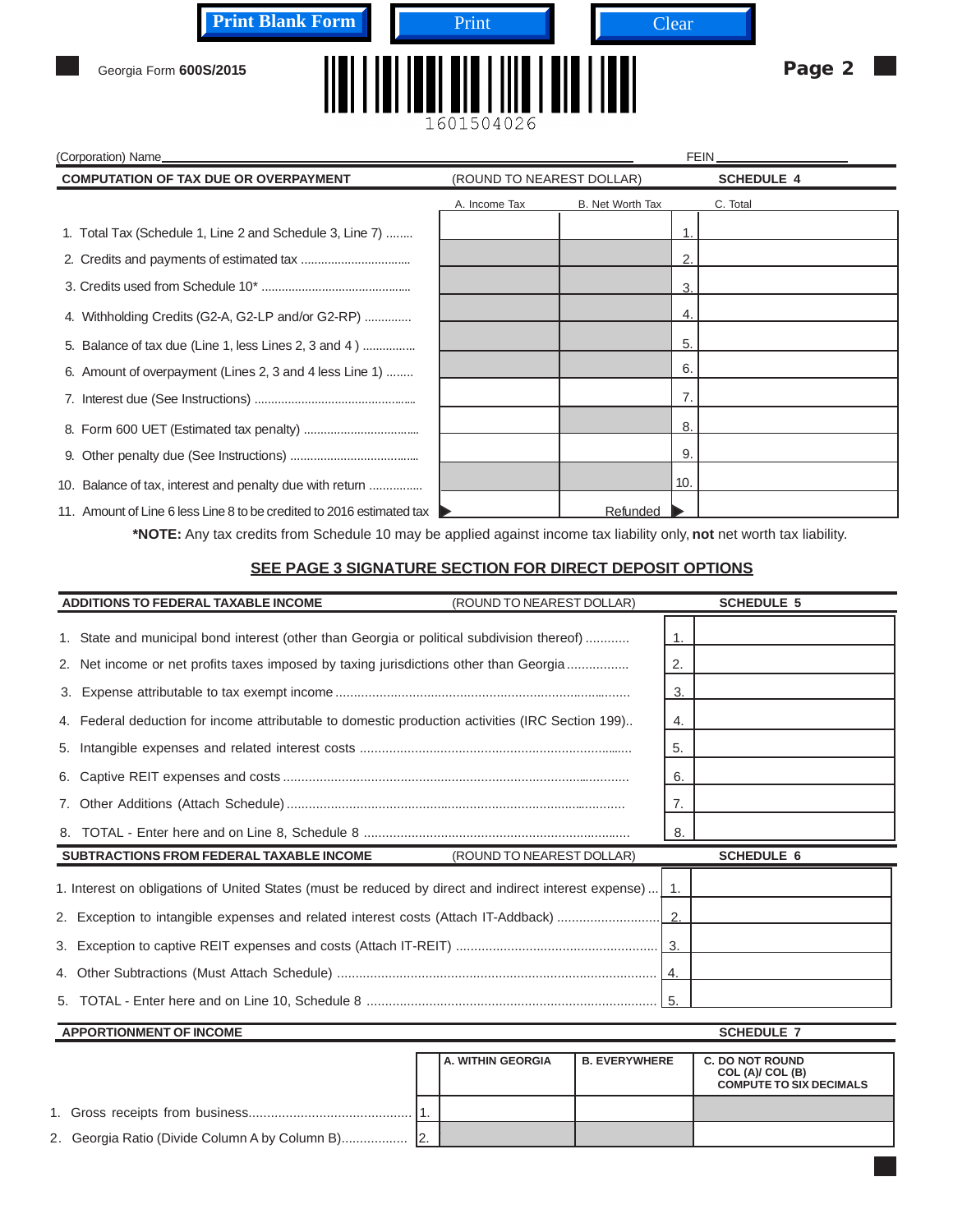| <b>Print Blank Form</b><br>Georgia Form 600S/2015        | Print<br>1601504026       |                  | Clear             | Page 2 |
|----------------------------------------------------------|---------------------------|------------------|-------------------|--------|
| (Corporation) Name_                                      |                           |                  | <b>FEIN</b>       |        |
| <b>COMPUTATION OF TAX DUE OR OVERPAYMENT</b>             | (ROUND TO NEAREST DOLLAR) |                  | <b>SCHEDULE 4</b> |        |
|                                                          | A. Income Tax             | B. Net Worth Tax | C. Total          |        |
| 1. Total Tax (Schedule 1, Line 2 and Schedule 3, Line 7) |                           |                  | и                 |        |
|                                                          |                           |                  | 2.                |        |

| 10. Balance of tax, interest and penalty due with return              |          | 10. |  |
|-----------------------------------------------------------------------|----------|-----|--|
| 11. Amount of Line 6 less Line 8 to be credited to 2016 estimated tax | Refunded |     |  |

 9. Other penalty due (See Instructions) ....................................... 9. 8. Form 600 UET (Estimated tax penalty) ................................... 8. 7. Interest due (See Instructions) ................................................. 7. 6. Amount of overpayment (Lines 2, 3 and 4 less Line 1) ........ 5. Balance of tax due (Line 1, less Lines 2, 3 and 4 ) ................ 5.

4. Withholding Credits (G2-A, G2-LP and/or G2-RP) ..............

3. Credits used from Schedule 10\* .............................................

**\*NOTE:** Any tax credits from Schedule 10 may be applied against income tax liability only, **not** net worth tax liability.

## **SEE PAGE 3 SIGNATURE SECTION FOR DIRECT DEPOSIT OPTIONS**

4. 3.

| <b>ADDITIONS TO FEDERAL TAXABLE INCOME</b>                                                            | (ROUND TO NEAREST DOLLAR) |            | <b>SCHEDULE 5</b> |
|-------------------------------------------------------------------------------------------------------|---------------------------|------------|-------------------|
| State and municipal bond interest (other than Georgia or political subdivision thereof)<br>1.         |                           | -1.        |                   |
| 2. Net income or net profits taxes imposed by taxing jurisdictions other than Georgia                 |                           | 2.         |                   |
| 3.                                                                                                    |                           | 3.         |                   |
| Federal deduction for income attributable to domestic production activities (IRC Section 199)<br>4.   |                           | 4.         |                   |
| 5.                                                                                                    |                           | 5.         |                   |
| 6.                                                                                                    |                           | 6.         |                   |
| 7.                                                                                                    |                           | 7.         |                   |
|                                                                                                       |                           | 8.         |                   |
| <b>SUBTRACTIONS FROM FEDERAL TAXABLE INCOME</b>                                                       | (ROUND TO NEAREST DOLLAR) |            | <b>SCHEDULE 6</b> |
| 1. Interest on obligations of United States (must be reduced by direct and indirect interest expense) |                           | $\vert$ 1. |                   |
|                                                                                                       |                           |            |                   |
|                                                                                                       |                           |            |                   |
|                                                                                                       |                           | 4.         |                   |
|                                                                                                       |                           |            |                   |
| <b>APPORTIONMENT OF INCOME</b>                                                                        |                           |            | <b>SCHEDULE 7</b> |

|                                                | I A. WITHIN GEORGIA | <b>B. EVERYWHERE</b> | <b>C. DO NOT ROUND</b><br>COL (A)/ COL (B)<br><b>COMPUTE TO SIX DECIMALS</b> |
|------------------------------------------------|---------------------|----------------------|------------------------------------------------------------------------------|
|                                                |                     |                      |                                                                              |
| 2. Georgia Ratio (Divide Column A by Column B) |                     |                      |                                                                              |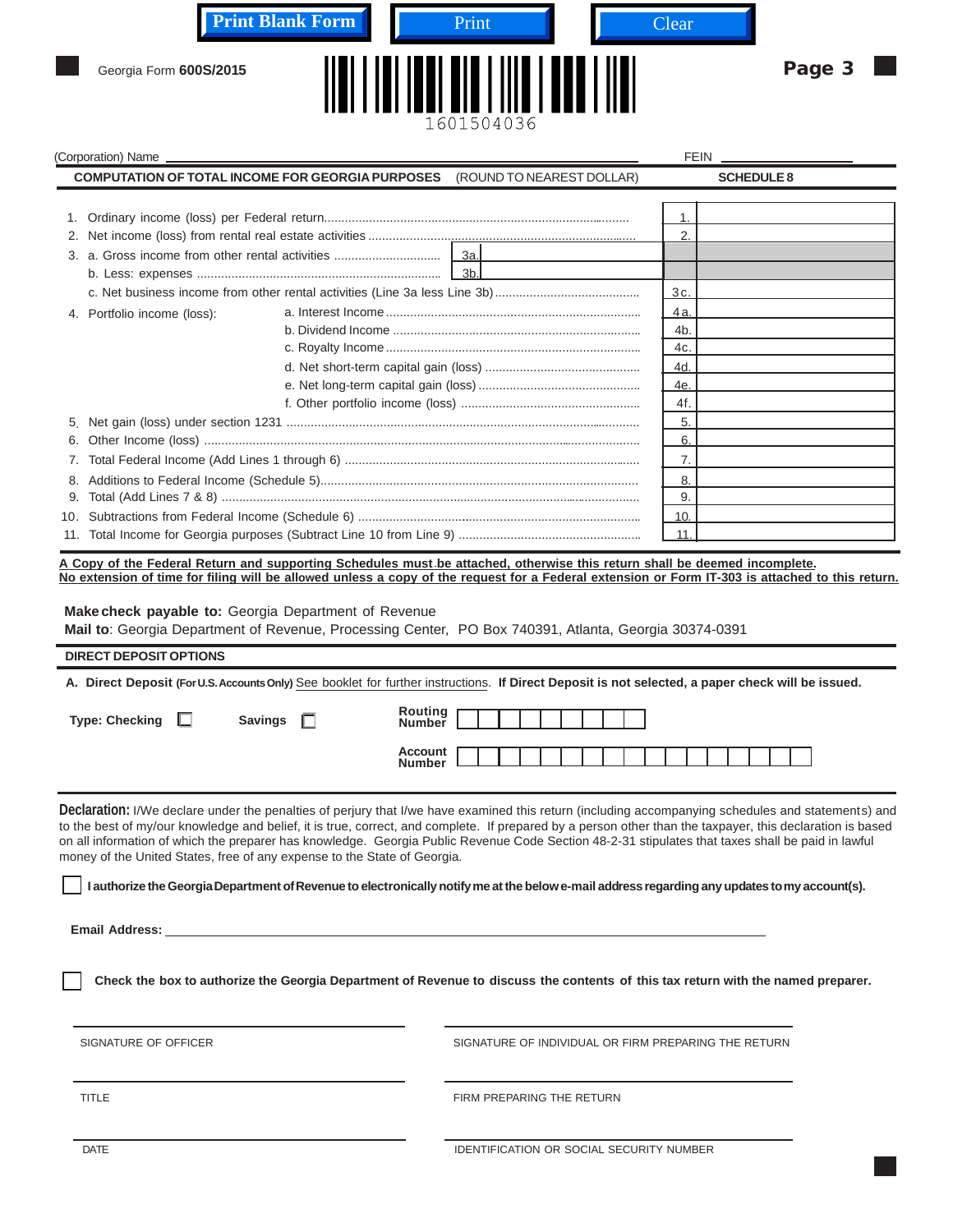| <b>Print Blank Form</b><br>Print                                                     | Clear             |
|--------------------------------------------------------------------------------------|-------------------|
| Georgia Form 600S/2015<br>1601504036                                                 | Page 3            |
| (Corporation) Name                                                                   | <b>FEIN</b>       |
| <b>COMPUTATION OF TOTAL INCOME FOR GEORGIA PURPOSES</b><br>(ROUND TO NEAREST DOLLAR) | <b>SCHEDULE 8</b> |

|                             |    | 3c. |  |
|-----------------------------|----|-----|--|
| 4. Portfolio income (loss): |    | 4a. |  |
|                             |    | 4b  |  |
|                             | 4c |     |  |
|                             |    | 4d  |  |
|                             |    | 4e. |  |
|                             |    | 4f  |  |
|                             |    | 5   |  |
|                             |    | 6   |  |
|                             |    |     |  |
|                             |    | 8   |  |
|                             |    | 9   |  |
|                             |    | 10. |  |
|                             |    | 11  |  |

**A Copy of the Federal Return and supporting Schedules must be attached, otherwise this return shall be deemed incomplete. No extension of time for filing will be allowed unless a copy of the request for a Federal extension or Form IT-303 is attached to this return.**

**Make check payable to:** Georgia Department of Revenue

Mail to: Georgia Department of Revenue, Processing Center, PO Box 740391, Atlanta, Georgia 30374-0391

| <b>DIRECT DEPOSIT OPTIONS</b>                                                                                                                                                                                                                                                                                                                                                                                                                                                                                                                                                    |                                                                                                                                               |                                 |  |                                                      |  |  |  |  |  |  |  |
|----------------------------------------------------------------------------------------------------------------------------------------------------------------------------------------------------------------------------------------------------------------------------------------------------------------------------------------------------------------------------------------------------------------------------------------------------------------------------------------------------------------------------------------------------------------------------------|-----------------------------------------------------------------------------------------------------------------------------------------------|---------------------------------|--|------------------------------------------------------|--|--|--|--|--|--|--|
| A. Direct Deposit (For U.S. Accounts Only) See booklet for further instructions. If Direct Deposit is not selected, a paper check will be issued.                                                                                                                                                                                                                                                                                                                                                                                                                                |                                                                                                                                               |                                 |  |                                                      |  |  |  |  |  |  |  |
| <b>Type: Checking</b>                                                                                                                                                                                                                                                                                                                                                                                                                                                                                                                                                            | <b>Savings</b>                                                                                                                                | Routing<br><b>Number</b>        |  |                                                      |  |  |  |  |  |  |  |
|                                                                                                                                                                                                                                                                                                                                                                                                                                                                                                                                                                                  |                                                                                                                                               | <b>Account</b><br><b>Number</b> |  |                                                      |  |  |  |  |  |  |  |
| <b>Declaration:</b> I/We declare under the penalties of perjury that I/we have examined this return (including accompanying schedules and statements) and<br>to the best of my/our knowledge and belief, it is true, correct, and complete. If prepared by a person other than the taxpayer, this declaration is based<br>on all information of which the preparer has knowledge. Georgia Public Revenue Code Section 48-2-31 stipulates that taxes shall be paid in lawful<br>money of the United States, free of any expense to the State of Georgia.<br><b>Email Address:</b> | I authorize the Georgia Department of Revenue to electronically notify me at the below e-mail address regarding any updates to my account(s). |                                 |  |                                                      |  |  |  |  |  |  |  |
|                                                                                                                                                                                                                                                                                                                                                                                                                                                                                                                                                                                  | Check the box to authorize the Georgia Department of Revenue to discuss the contents of this tax return with the named preparer.              |                                 |  |                                                      |  |  |  |  |  |  |  |
| SIGNATURE OF OFFICER                                                                                                                                                                                                                                                                                                                                                                                                                                                                                                                                                             |                                                                                                                                               |                                 |  | SIGNATURE OF INDIVIDUAL OR FIRM PREPARING THE RETURN |  |  |  |  |  |  |  |
| <b>TITLE</b>                                                                                                                                                                                                                                                                                                                                                                                                                                                                                                                                                                     |                                                                                                                                               |                                 |  | FIRM PREPARING THE RETURN                            |  |  |  |  |  |  |  |
| <b>DATE</b>                                                                                                                                                                                                                                                                                                                                                                                                                                                                                                                                                                      |                                                                                                                                               |                                 |  | <b>IDENTIFICATION OR SOCIAL SECURITY NUMBER</b>      |  |  |  |  |  |  |  |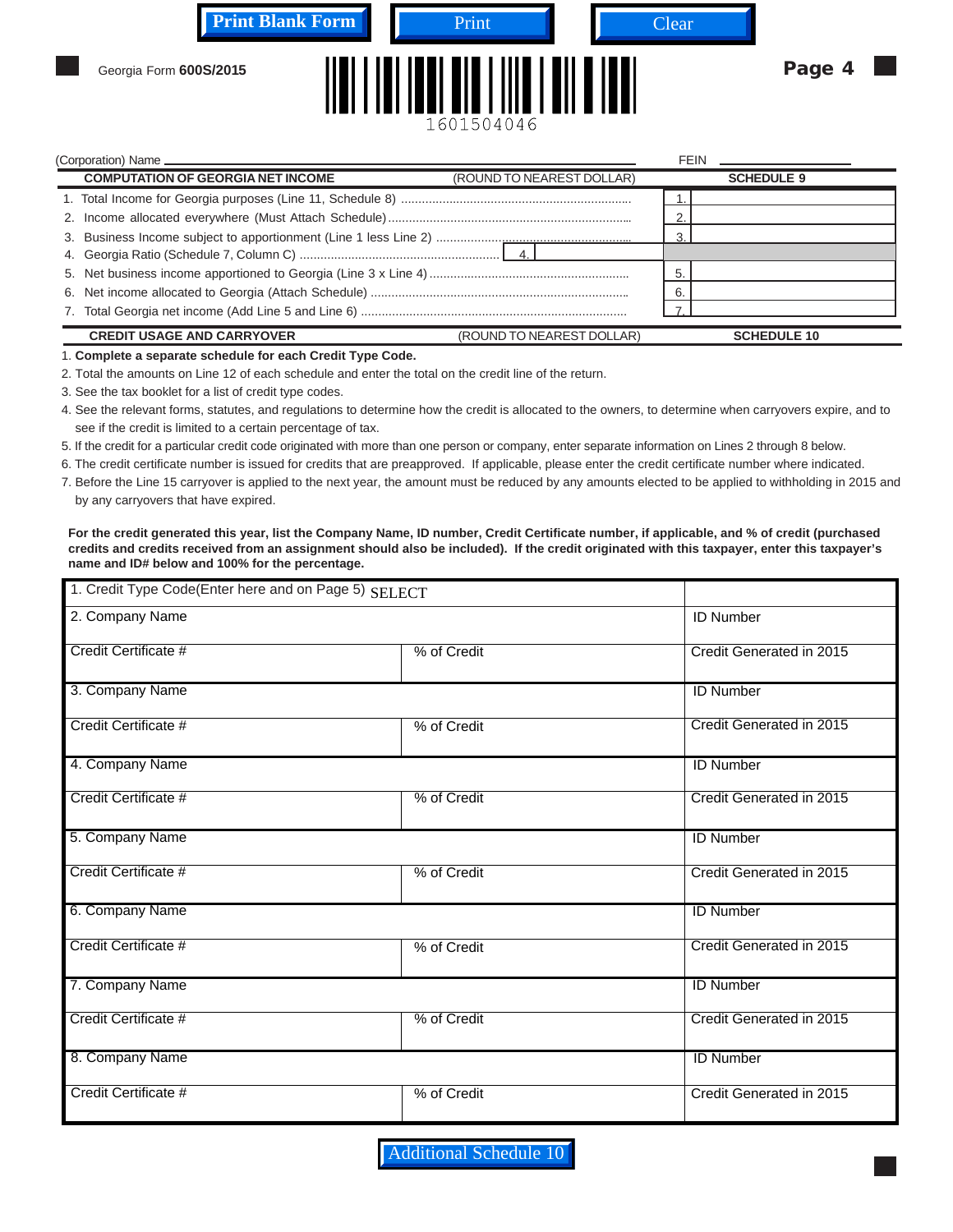|                    | <b>Print Blank Form</b> | Print           | Clear       |        |  |
|--------------------|-------------------------|-----------------|-------------|--------|--|
|                    | Georgia Form 600S/2015  | ║<br>1601504046 |             | Page 4 |  |
| (Corporation) Name |                         |                 | <b>FFIN</b> |        |  |

|                                          |                           | <b>FEIN</b>        |  |
|------------------------------------------|---------------------------|--------------------|--|
| <b>COMPUTATION OF GEORGIA NET INCOME</b> | (ROUND TO NEAREST DOLLAR) | <b>SCHEDULE 9</b>  |  |
|                                          |                           |                    |  |
|                                          |                           |                    |  |
|                                          |                           |                    |  |
|                                          |                           |                    |  |
|                                          |                           |                    |  |
|                                          |                           |                    |  |
| 7.                                       |                           |                    |  |
| <b>CREDIT USAGE AND CARRYOVER</b>        | (ROUND TO NEAREST DOLLAR) | <b>SCHEDULE 10</b> |  |

## 1. **Complete a separate schedule for each Credit Type Code.**

2. Total the amounts on Line 12 of each schedule and enter the total on the credit line of the return.

- 3. See the tax booklet for a list of credit type codes.
- 4. See the relevant forms, statutes, and regulations to determine how the credit is allocated to the owners, to determine when carryovers expire, and to see if the credit is limited to a certain percentage of tax.
- 5. If the credit for a particular credit code originated with more than one person or company, enter separate information on Lines 2 through 8 below.
- 6. The credit certificate number is issued for credits that are preapproved. If applicable, please enter the credit certificate number where indicated.
- 7. Before the Line 15 carryover is applied to the next year, the amount must be reduced by any amounts elected to be applied to withholding in 2015 and by any carryovers that have expired.

## **For the credit generated this year, list the Company Name, ID number, Credit Certificate number, if applicable, and % of credit (purchased credits and credits received from an assignment should also be included). If the credit originated with this taxpayer, enter this taxpayer's name and ID# below and 100% for the percentage.**

| 1. Credit Type Code(Enter here and on Page 5) SELECT |             |                                 |
|------------------------------------------------------|-------------|---------------------------------|
| 2. Company Name                                      |             | <b>ID Number</b>                |
| Credit Certificate #                                 | % of Credit | Credit Generated in 2015        |
| 3. Company Name                                      |             | <b>ID Number</b>                |
| Credit Certificate #                                 | % of Credit | Credit Generated in 2015        |
| 4. Company Name                                      |             | <b>ID Number</b>                |
| Credit Certificate #                                 | % of Credit | Credit Generated in 2015        |
| 5. Company Name                                      |             | <b>ID Number</b>                |
| Credit Certificate #                                 | % of Credit | Credit Generated in 2015        |
| 6. Company Name                                      |             | <b>ID Number</b>                |
| Credit Certificate #                                 | % of Credit | Credit Generated in 2015        |
| 7. Company Name                                      |             | <b>ID Number</b>                |
| Credit Certificate #                                 | % of Credit | <b>Credit Generated in 2015</b> |
| 8. Company Name                                      |             | <b>ID Number</b>                |
| Credit Certificate #                                 | % of Credit | Credit Generated in 2015        |

Additional Schedule 10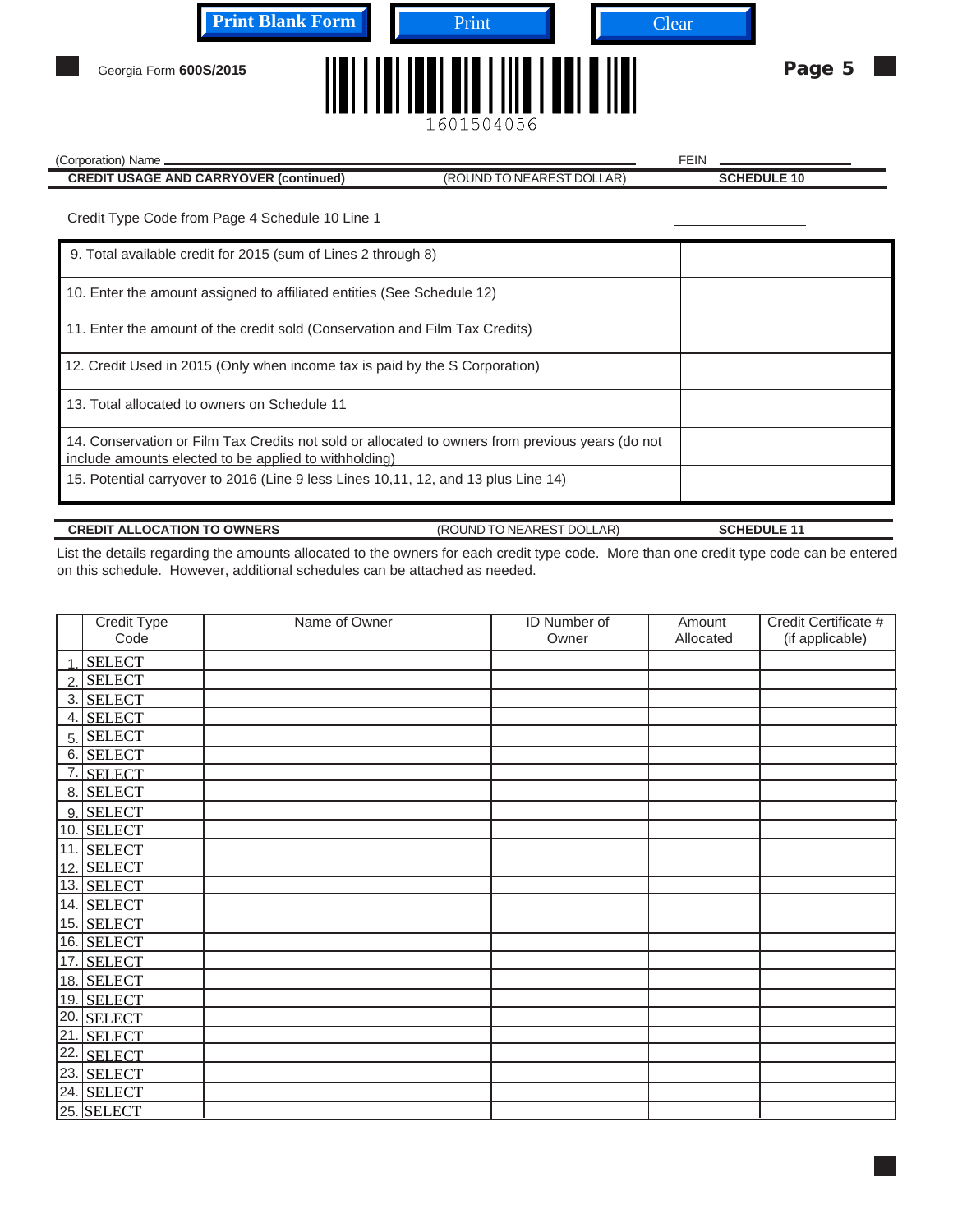| <b>Print Blank Form</b>                         | Print                     | Clear       |                    |  |
|-------------------------------------------------|---------------------------|-------------|--------------------|--|
| Georgia Form 600S/2015                          | 1601504056                |             | Page 5             |  |
| (Corporation) Name _                            |                           | <b>FEIN</b> |                    |  |
| <b>CREDIT USAGE AND CARRYOVER (continued)</b>   | (ROUND TO NEAREST DOLLAR) |             | <b>SCHEDULE 10</b> |  |
| Credit Type Code from Page 4 Schedule 10 Line 1 |                           |             |                    |  |

| 9. Total available credit for 2015 (sum of Lines 2 through 8)                                                                                             |  |
|-----------------------------------------------------------------------------------------------------------------------------------------------------------|--|
| 10. Enter the amount assigned to affiliated entities (See Schedule 12)                                                                                    |  |
| 11. Enter the amount of the credit sold (Conservation and Film Tax Credits)                                                                               |  |
| 12. Credit Used in 2015 (Only when income tax is paid by the S Corporation)                                                                               |  |
| 13. Total allocated to owners on Schedule 11                                                                                                              |  |
| 14. Conservation or Film Tax Credits not sold or allocated to owners from previous years (do not<br>include amounts elected to be applied to withholding) |  |
| 15. Potential carryover to 2016 (Line 9 less Lines 10.11, 12, and 13 plus Line 14)                                                                        |  |

**CREDIT ALLOCATION TO OWNERS** (ROUND TO NEAREST DOLLAR) **SCHEDULE 11** 

List the details regarding the amounts allocated to the owners for each credit type code. More than one credit type code can be entered on this schedule. However, additional schedules can be attached as needed.

 $\overline{a}$ 

|                   | Credit Type       | Name of Owner | <b>ID Number of</b> | Amount    | Credit Certificate # |
|-------------------|-------------------|---------------|---------------------|-----------|----------------------|
|                   | Code              |               | Owner               | Allocated | (if applicable)      |
|                   | <b>SELECT</b>     |               |                     |           |                      |
| 2.                | <b>SELECT</b>     |               |                     |           |                      |
| 3.                | <b>SELECT</b>     |               |                     |           |                      |
| 4.                | <b>SELECT</b>     |               |                     |           |                      |
| 5.                | <b>SELECT</b>     |               |                     |           |                      |
| 6.                | <b>SELECT</b>     |               |                     |           |                      |
| 7.                | <b>SELECT</b>     |               |                     |           |                      |
|                   | 8. SELECT         |               |                     |           |                      |
|                   | $9.$ SELECT       |               |                     |           |                      |
|                   | $10.$ SELECT      |               |                     |           |                      |
|                   | $11.$ SELECT      |               |                     |           |                      |
|                   | 12. SELECT        |               |                     |           |                      |
|                   | 13. SELECT        |               |                     |           |                      |
|                   | 14. SELECT        |               |                     |           |                      |
|                   | 15. SELECT        |               |                     |           |                      |
|                   | 16. SELECT        |               |                     |           |                      |
|                   | 17. SELECT        |               |                     |           |                      |
|                   | 18. SELECT        |               |                     |           |                      |
|                   | 19. SELECT        |               |                     |           |                      |
|                   | 20. SELECT        |               |                     |           |                      |
|                   | 21. SELECT        |               |                     |           |                      |
| $\overline{22}$ . | <b>SELECT</b>     |               |                     |           |                      |
|                   | 23. <u>SELECT</u> |               |                     |           |                      |
|                   | 24. SELECT        |               |                     |           |                      |
|                   | 25. SELECT        |               |                     |           |                      |